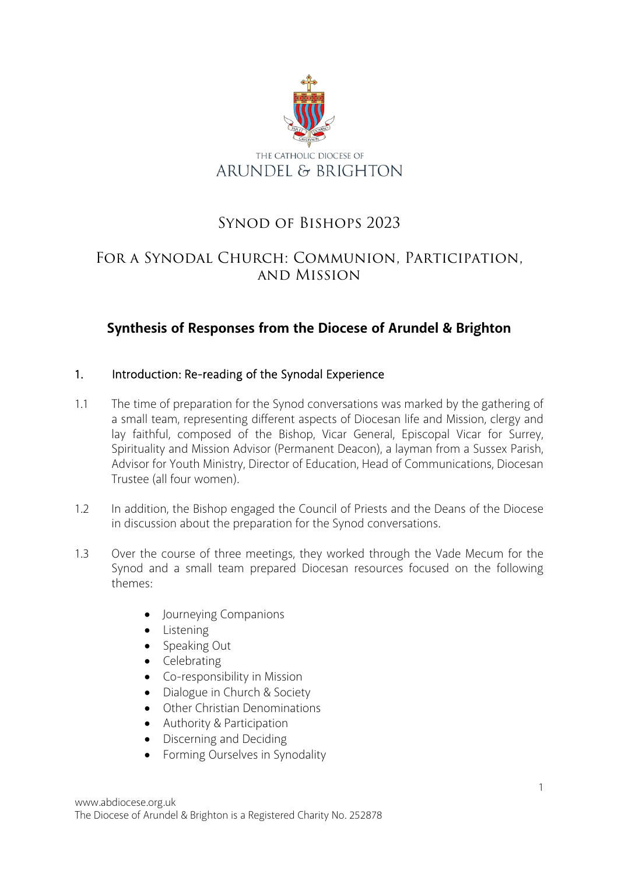

# Synod of Bishops 2023

# For a Synodal Church: Communion, Participation, and Mission

# **Synthesis of Responses from the Diocese of Arundel & Brighton**

#### 1. Introduction: Re-reading of the Synodal Experience

- 1.1 The time of preparation for the Synod conversations was marked by the gathering of a small team, representing different aspects of Diocesan life and Mission, clergy and lay faithful, composed of the Bishop, Vicar General, Episcopal Vicar for Surrey, Spirituality and Mission Advisor (Permanent Deacon), a layman from a Sussex Parish, Advisor for Youth Ministry, Director of Education, Head of Communications, Diocesan Trustee (all four women).
- 1.2 In addition, the Bishop engaged the Council of Priests and the Deans of the Diocese in discussion about the preparation for the Synod conversations.
- 1.3 Over the course of three meetings, they worked through the Vade Mecum for the Synod and a small team prepared Diocesan resources focused on the following themes:
	- Journeying Companions
	- Listening
	- Speaking Out
	- Celebrating
	- Co-responsibility in Mission
	- Dialogue in Church & Society
	- Other Christian Denominations
	- Authority & Participation
	- Discerning and Deciding
	- Forming Ourselves in Synodality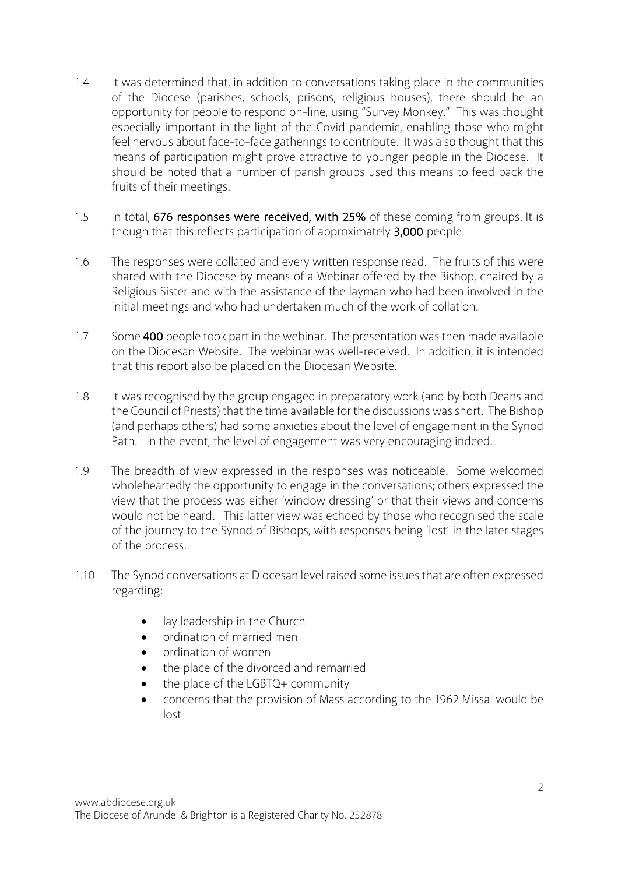- 1.4 It was determined that, in addition to conversations taking place in the communities of the Diocese (parishes, schools, prisons, religious houses), there should be an opportunity for people to respond on-line, using "Survey Monkey." This was thought especially important in the light of the Covid pandemic, enabling those who might feel nervous about face-to-face gatherings to contribute. It was also thought that this means of participation might prove attractive to younger people in the Diocese. It should be noted that a number of parish groups used this means to feed back the fruits of their meetings.
- 1.5 In total, 676 responses were received, with 25% of these coming from groups. It is though that this reflects participation of approximately 3,000 people.
- 1.6 The responses were collated and every written response read. The fruits of this were shared with the Diocese by means of a Webinar offered by the Bishop, chaired by a Religious Sister and with the assistance of the layman who had been involved in the initial meetings and who had undertaken much of the work of collation.
- 1.7 Some 400 people took part in the webinar. The presentation was then made available on the Diocesan Website. The webinar was well-received. In addition, it is intended that this report also be placed on the Diocesan Website.
- 1.8 It was recognised by the group engaged in preparatory work (and by both Deans and the Council of Priests) that the time available for the discussions was short. The Bishop (and perhaps others) had some anxieties about the level of engagement in the Synod Path. In the event, the level of engagement was very encouraging indeed.
- 1.9 The breadth of view expressed in the responses was noticeable. Some welcomed wholeheartedly the opportunity to engage in the conversations; others expressed the view that the process was either 'window dressing' or that their views and concerns would not be heard. This latter view was echoed by those who recognised the scale of the journey to the Synod of Bishops, with responses being 'lost' in the later stages of the process.
- 1.10 The Synod conversations at Diocesan level raised some issues that are often expressed regarding:
	- lay leadership in the Church
	- ordination of married men
	- ordination of women
	- the place of the divorced and remarried
	- the place of the LGBTQ+ community
	- concerns that the provision of Mass according to the 1962 Missal would be lost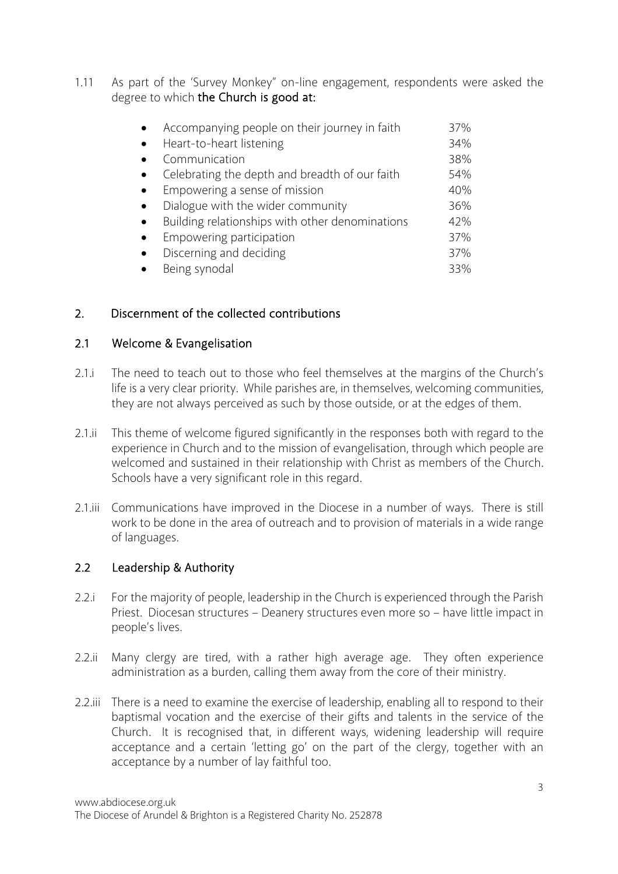1.11 As part of the 'Survey Monkey" on-line engagement, respondents were asked the degree to which the Church is good at:

| Accompanying people on their journey in faith   | 37% |
|-------------------------------------------------|-----|
| Heart-to-heart listening                        | 34% |
| Communication                                   | 38% |
| Celebrating the depth and breadth of our faith  | 54% |
| Empowering a sense of mission                   | 40% |
| Dialogue with the wider community               | 36% |
| Building relationships with other denominations | 42% |
| Empowering participation                        | 37% |
| Discerning and deciding                         | 37% |
| Being synodal                                   | 33% |

# 2. Discernment of the collected contributions

#### 2.1 Welcome & Evangelisation

- 2.1.i The need to teach out to those who feel themselves at the margins of the Church's life is a very clear priority. While parishes are, in themselves, welcoming communities, they are not always perceived as such by those outside, or at the edges of them.
- 2.1.ii This theme of welcome figured significantly in the responses both with regard to the experience in Church and to the mission of evangelisation, through which people are welcomed and sustained in their relationship with Christ as members of the Church. Schools have a very significant role in this regard.
- 2.1.iii Communications have improved in the Diocese in a number of ways. There is still work to be done in the area of outreach and to provision of materials in a wide range of languages.

#### 2.2 Leadership & Authority

- 2.2.i For the majority of people, leadership in the Church is experienced through the Parish Priest. Diocesan structures – Deanery structures even more so – have little impact in people's lives.
- 2.2.ii Many clergy are tired, with a rather high average age. They often experience administration as a burden, calling them away from the core of their ministry.
- 2.2.iii There is a need to examine the exercise of leadership, enabling all to respond to their baptismal vocation and the exercise of their gifts and talents in the service of the Church. It is recognised that, in different ways, widening leadership will require acceptance and a certain 'letting go' on the part of the clergy, together with an acceptance by a number of lay faithful too.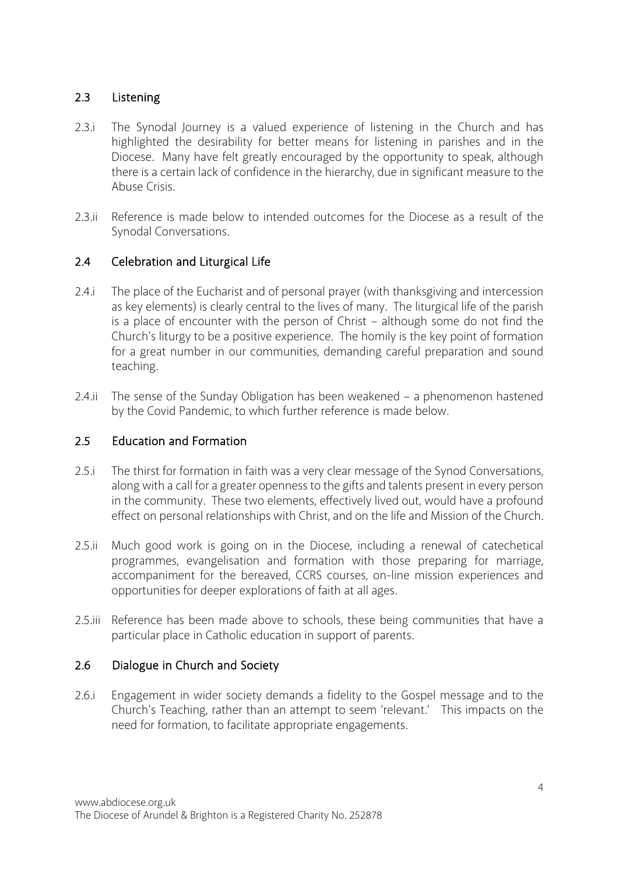# 2.3 Listening

- 2.3.i The Synodal Journey is a valued experience of listening in the Church and has highlighted the desirability for better means for listening in parishes and in the Diocese. Many have felt greatly encouraged by the opportunity to speak, although there is a certain lack of confidence in the hierarchy, due in significant measure to the Abuse Crisis.
- 2.3.ii Reference is made below to intended outcomes for the Diocese as a result of the Synodal Conversations.

# 2.4 Celebration and Liturgical Life

- 2.4.i The place of the Eucharist and of personal prayer (with thanksgiving and intercession as key elements) is clearly central to the lives of many. The liturgical life of the parish is a place of encounter with the person of Christ – although some do not find the Church's liturgy to be a positive experience. The homily is the key point of formation for a great number in our communities, demanding careful preparation and sound teaching.
- 2.4.ii The sense of the Sunday Obligation has been weakened a phenomenon hastened by the Covid Pandemic, to which further reference is made below.

#### 2.5 Education and Formation

- 2.5.i The thirst for formation in faith was a very clear message of the Synod Conversations, along with a call for a greater openness to the gifts and talents present in every person in the community. These two elements, effectively lived out, would have a profound effect on personal relationships with Christ, and on the life and Mission of the Church.
- 2.5.ii Much good work is going on in the Diocese, including a renewal of catechetical programmes, evangelisation and formation with those preparing for marriage, accompaniment for the bereaved, CCRS courses, on-line mission experiences and opportunities for deeper explorations of faith at all ages.
- 2.5.iii Reference has been made above to schools, these being communities that have a particular place in Catholic education in support of parents.

#### 2.6 Dialogue in Church and Society

2.6.i Engagement in wider society demands a fidelity to the Gospel message and to the Church's Teaching, rather than an attempt to seem 'relevant.' This impacts on the need for formation, to facilitate appropriate engagements.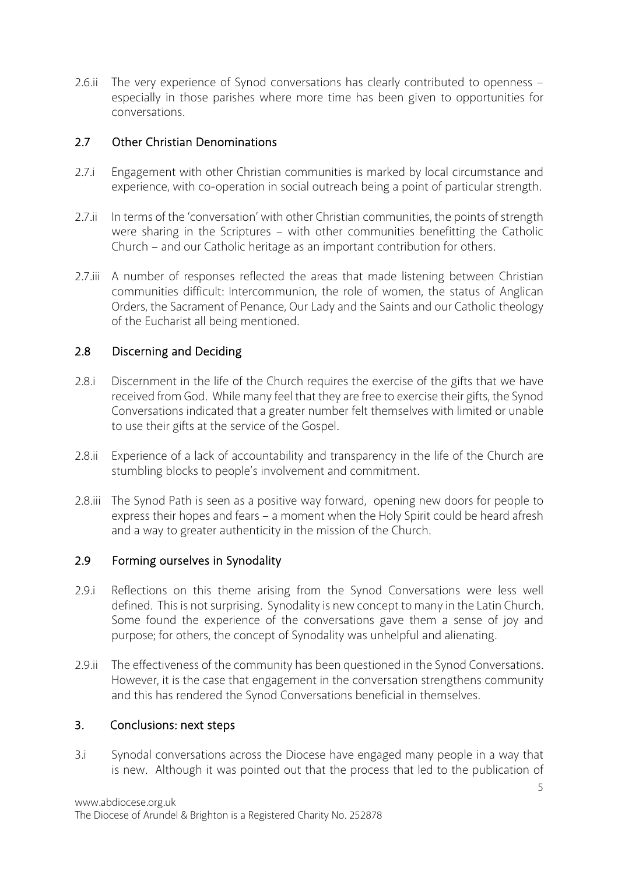2.6.ii The very experience of Synod conversations has clearly contributed to openness – especially in those parishes where more time has been given to opportunities for conversations.

#### 2.7 Other Christian Denominations

- 2.7.i Engagement with other Christian communities is marked by local circumstance and experience, with co-operation in social outreach being a point of particular strength.
- 2.7.ii In terms of the 'conversation' with other Christian communities, the points of strength were sharing in the Scriptures – with other communities benefitting the Catholic Church – and our Catholic heritage as an important contribution for others.
- 2.7.iii A number of responses reflected the areas that made listening between Christian communities difficult: Intercommunion, the role of women, the status of Anglican Orders, the Sacrament of Penance, Our Lady and the Saints and our Catholic theology of the Eucharist all being mentioned.

#### 2.8 Discerning and Deciding

- 2.8.i Discernment in the life of the Church requires the exercise of the gifts that we have received from God. While many feel that they are free to exercise their gifts, the Synod Conversations indicated that a greater number felt themselves with limited or unable to use their gifts at the service of the Gospel.
- 2.8.ii Experience of a lack of accountability and transparency in the life of the Church are stumbling blocks to people's involvement and commitment.
- 2.8.iii The Synod Path is seen as a positive way forward, opening new doors for people to express their hopes and fears – a moment when the Holy Spirit could be heard afresh and a way to greater authenticity in the mission of the Church.

#### 2.9 Forming ourselves in Synodality

- 2.9.i Reflections on this theme arising from the Synod Conversations were less well defined. This is not surprising. Synodality is new concept to many in the Latin Church. Some found the experience of the conversations gave them a sense of joy and purpose; for others, the concept of Synodality was unhelpful and alienating.
- 2.9.ii The effectiveness of the community has been questioned in the Synod Conversations. However, it is the case that engagement in the conversation strengthens community and this has rendered the Synod Conversations beneficial in themselves.

#### 3. Conclusions: next steps

3.i Synodal conversations across the Diocese have engaged many people in a way that is new. Although it was pointed out that the process that led to the publication of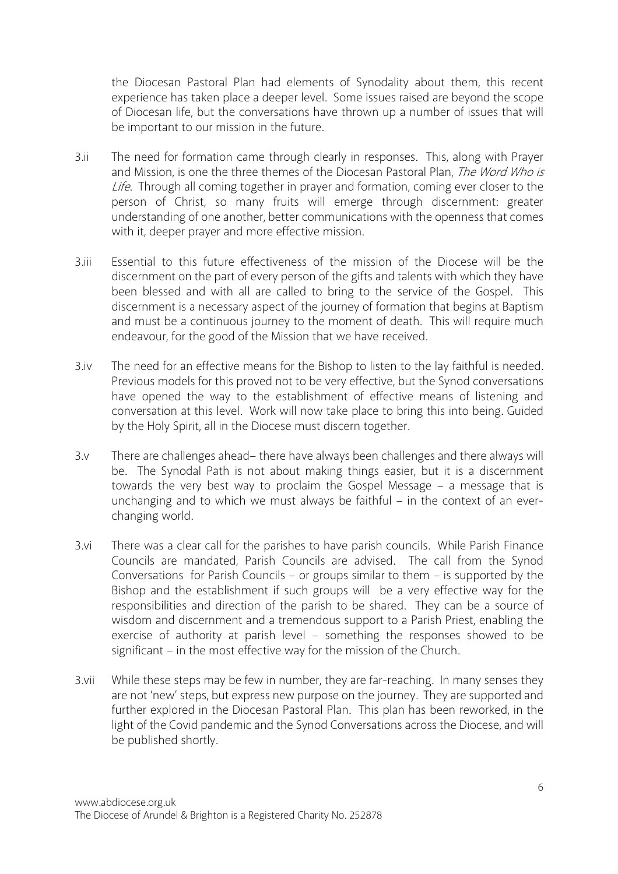the Diocesan Pastoral Plan had elements of Synodality about them, this recent experience has taken place a deeper level. Some issues raised are beyond the scope of Diocesan life, but the conversations have thrown up a number of issues that will be important to our mission in the future.

- 3.ii The need for formation came through clearly in responses. This, along with Prayer and Mission, is one the three themes of the Diocesan Pastoral Plan, The Word Who is Life. Through all coming together in prayer and formation, coming ever closer to the person of Christ, so many fruits will emerge through discernment: greater understanding of one another, better communications with the openness that comes with it, deeper prayer and more effective mission.
- 3.iii Essential to this future effectiveness of the mission of the Diocese will be the discernment on the part of every person of the gifts and talents with which they have been blessed and with all are called to bring to the service of the Gospel. This discernment is a necessary aspect of the journey of formation that begins at Baptism and must be a continuous journey to the moment of death. This will require much endeavour, for the good of the Mission that we have received.
- 3.iv The need for an effective means for the Bishop to listen to the lay faithful is needed. Previous models for this proved not to be very effective, but the Synod conversations have opened the way to the establishment of effective means of listening and conversation at this level. Work will now take place to bring this into being. Guided by the Holy Spirit, all in the Diocese must discern together.
- 3.v There are challenges ahead– there have always been challenges and there always will be. The Synodal Path is not about making things easier, but it is a discernment towards the very best way to proclaim the Gospel Message – a message that is unchanging and to which we must always be faithful – in the context of an everchanging world.
- 3.vi There was a clear call for the parishes to have parish councils. While Parish Finance Councils are mandated, Parish Councils are advised. The call from the Synod Conversations for Parish Councils – or groups similar to them – is supported by the Bishop and the establishment if such groups will be a very effective way for the responsibilities and direction of the parish to be shared. They can be a source of wisdom and discernment and a tremendous support to a Parish Priest, enabling the exercise of authority at parish level – something the responses showed to be significant – in the most effective way for the mission of the Church.
- 3.vii While these steps may be few in number, they are far-reaching. In many senses they are not 'new' steps, but express new purpose on the journey. They are supported and further explored in the Diocesan Pastoral Plan. This plan has been reworked, in the light of the Covid pandemic and the Synod Conversations across the Diocese, and will be published shortly.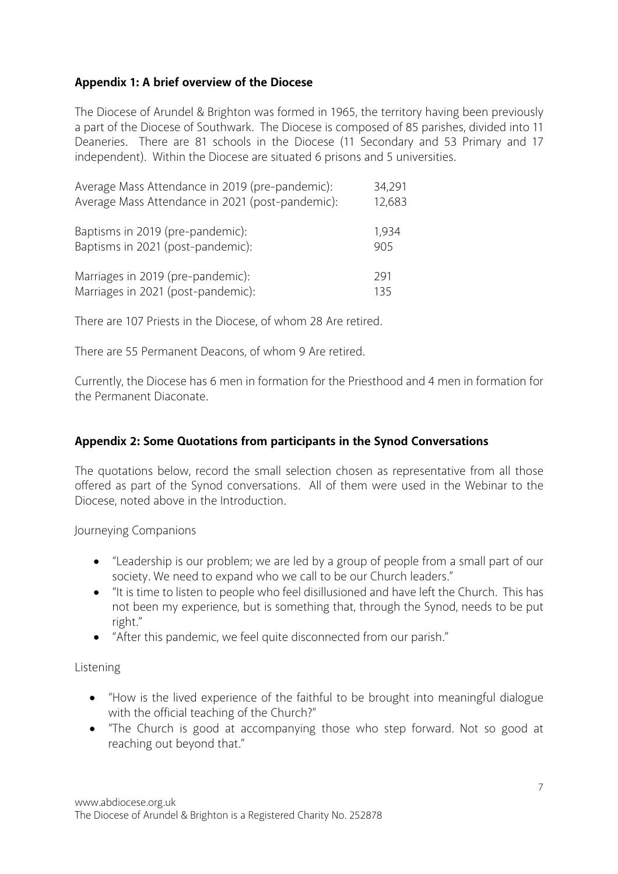#### **Appendix 1: A brief overview of the Diocese**

The Diocese of Arundel & Brighton was formed in 1965, the territory having been previously a part of the Diocese of Southwark. The Diocese is composed of 85 parishes, divided into 11 Deaneries. There are 81 schools in the Diocese (11 Secondary and 53 Primary and 17 independent). Within the Diocese are situated 6 prisons and 5 universities.

| Average Mass Attendance in 2019 (pre-pandemic):  | 34,291 |
|--------------------------------------------------|--------|
| Average Mass Attendance in 2021 (post-pandemic): | 12,683 |
| Baptisms in 2019 (pre-pandemic):                 | 1,934  |
| Baptisms in 2021 (post-pandemic):                | 905    |
| Marriages in 2019 (pre-pandemic):                | 291    |
| Marriages in 2021 (post-pandemic):               | 135    |

There are 107 Priests in the Diocese, of whom 28 Are retired.

There are 55 Permanent Deacons, of whom 9 Are retired.

Currently, the Diocese has 6 men in formation for the Priesthood and 4 men in formation for the Permanent Diaconate.

#### **Appendix 2: Some Quotations from participants in the Synod Conversations**

The quotations below, record the small selection chosen as representative from all those offered as part of the Synod conversations. All of them were used in the Webinar to the Diocese, noted above in the Introduction.

Journeying Companions

- "Leadership is our problem; we are led by a group of people from a small part of our society. We need to expand who we call to be our Church leaders."
- "It is time to listen to people who feel disillusioned and have left the Church. This has not been my experience, but is something that, through the Synod, needs to be put right."
- "After this pandemic, we feel quite disconnected from our parish."

Listening

- "How is the lived experience of the faithful to be brought into meaningful dialogue with the official teaching of the Church?"
- "The Church is good at accompanying those who step forward. Not so good at reaching out beyond that."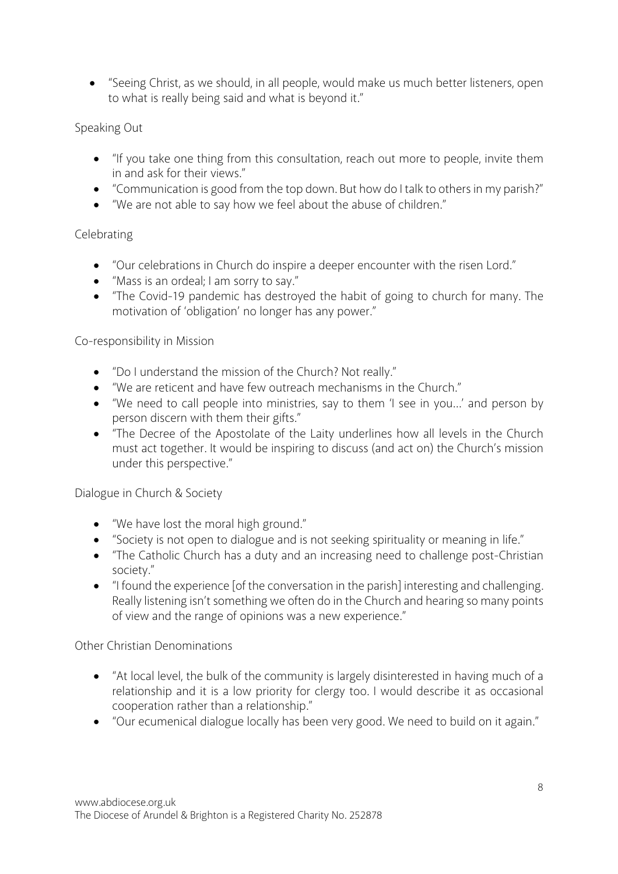• "Seeing Christ, as we should, in all people, would make us much better listeners, open to what is really being said and what is beyond it."

# Speaking Out

- "If you take one thing from this consultation, reach out more to people, invite them in and ask for their views."
- "Communication is good from the top down. But how do I talk to others in my parish?"
- "We are not able to say how we feel about the abuse of children."

# Celebrating

- "Our celebrations in Church do inspire a deeper encounter with the risen Lord."
- "Mass is an ordeal; I am sorry to say."
- "The Covid-19 pandemic has destroyed the habit of going to church for many. The motivation of 'obligation' no longer has any power."

# Co-responsibility in Mission

- "Do I understand the mission of the Church? Not really."
- "We are reticent and have few outreach mechanisms in the Church."
- "We need to call people into ministries, say to them 'I see in you…' and person by person discern with them their gifts."
- "The Decree of the Apostolate of the Laity underlines how all levels in the Church must act together. It would be inspiring to discuss (and act on) the Church's mission under this perspective."

#### Dialogue in Church & Society

- "We have lost the moral high ground."
- "Society is not open to dialogue and is not seeking spirituality or meaning in life."
- "The Catholic Church has a duty and an increasing need to challenge post-Christian society."
- "I found the experience [of the conversation in the parish] interesting and challenging. Really listening isn't something we often do in the Church and hearing so many points of view and the range of opinions was a new experience."

#### Other Christian Denominations

- "At local level, the bulk of the community is largely disinterested in having much of a relationship and it is a low priority for clergy too. I would describe it as occasional cooperation rather than a relationship."
- "Our ecumenical dialogue locally has been very good. We need to build on it again."